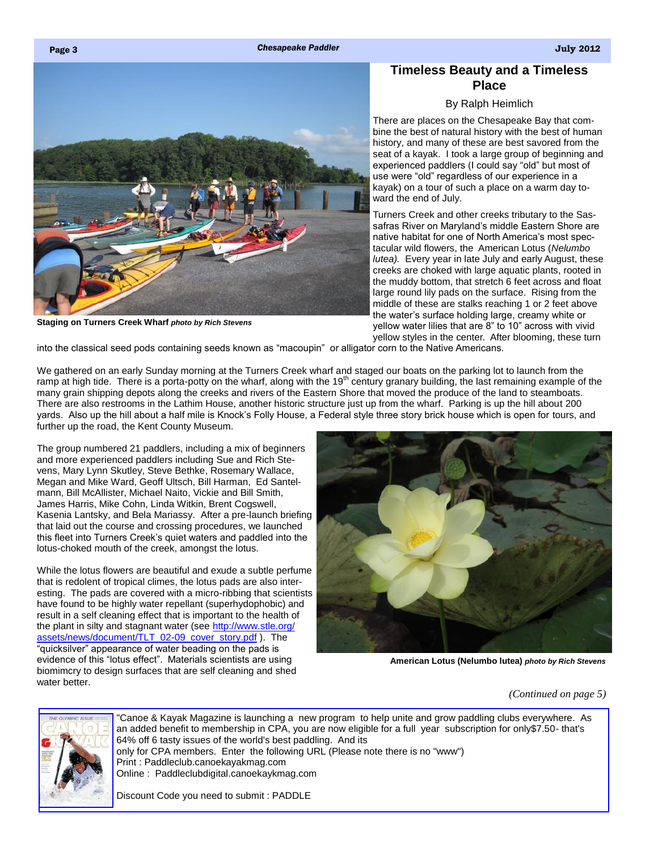### <span id="page-0-0"></span>Page 3 *Chesapeake Paddler* **July** 2012

# **Timeless Beauty and a Timeless Place**

### By Ralph Heimlich

There are places on the Chesapeake Bay that combine the best of natural history with the best of human history, and many of these are best savored from the seat of a kayak. I took a large group of beginning and experienced paddlers (I could say "old" but most of use were "old" regardless of our experience in a kayak) on a tour of such a place on a warm day toward the end of July.

Turners Creek and other creeks tributary to the Sassafras River on Maryland's middle Eastern Shore are native habitat for one of North America's most spectacular wild flowers, the American Lotus (*Nelumbo lutea).* Every year in late July and early August, these creeks are choked with large aquatic plants, rooted in the muddy bottom, that stretch 6 feet across and float large round lily pads on the surface. Rising from the middle of these are stalks reaching 1 or 2 feet above the water's surface holding large, creamy white or yellow water lilies that are 8" to 10" across with vivid yellow styles in the center. After blooming, these turn

into the classical seed pods containing seeds known as "macoupin" or alligator corn to the Native Americans.

We gathered on an early Sunday morning at the Turners Creek wharf and staged our boats on the parking lot to launch from the ramp at high tide. There is a porta-potty on the wharf, along with the 19<sup>th</sup> century granary building, the last remaining example of the many grain shipping depots along the creeks and rivers of the Eastern Shore that moved the produce of the land to steamboats. There are also restrooms in the Lathim House, another historic structure just up from the wharf. Parking is up the hill about 200 yards. Also up the hill about a half mile is Knock's Folly House, a Federal style three story brick house which is open for tours, and further up the road, the Kent County Museum.

The group numbered 21 paddlers, including a mix of beginners and more experienced paddlers including Sue and Rich Stevens, Mary Lynn Skutley, Steve Bethke, Rosemary Wallace, Megan and Mike Ward, Geoff Ultsch, Bill Harman, Ed Santelmann, Bill McAllister, Michael Naito, Vickie and Bill Smith, James Harris, Mike Cohn, Linda Witkin, Brent Cogswell, Kasenia Lantsky, and Bela Mariassy. After a pre-launch briefing that laid out the course and crossing procedures, we launched this fleet into Turners Creek's quiet waters and paddled into the lotus-choked mouth of the creek, amongst the lotus.

While the lotus flowers are beautiful and exude a subtle perfume that is redolent of tropical climes, the lotus pads are also interesting. The pads are covered with a micro-ribbing that scientists have found to be highly water repellant (superhydophobic) and result in a self cleaning effect that is important to the health of the plant in silty and stagnant water (see [http://www.stle.org/](http://www.stle.org/assets/news/document/TLT_02-09_cover_story.pdf) [assets/news/document/TLT\\_02-09\\_cover\\_story.pdf](http://www.stle.org/assets/news/document/TLT_02-09_cover_story.pdf) ). The "quicksilver" appearance of water beading on the pads is evidence of this "lotus effect". Materials scientists are using biomimcry to design surfaces that are self cleaning and shed water better.



**American Lotus (Nelumbo lutea)** *photo by Rich Stevens*

*[\(Continued on page 5\)](#page-1-0)*



"Canoe & Kayak Magazine is launching a new program to help unite and grow paddling clubs everywhere. As an added benefit to membership in CPA, you are now eligible for a full year subscription for only\$7.50- that's 64% off 6 tasty issues of the world's best paddling. And its only for CPA members. Enter the following URL (Please note there is no "www") Print : Paddleclub.canoekayakmag.com Online : Paddleclubdigital.canoekaykmag.com

Discount Code you need to submit : PADDLE

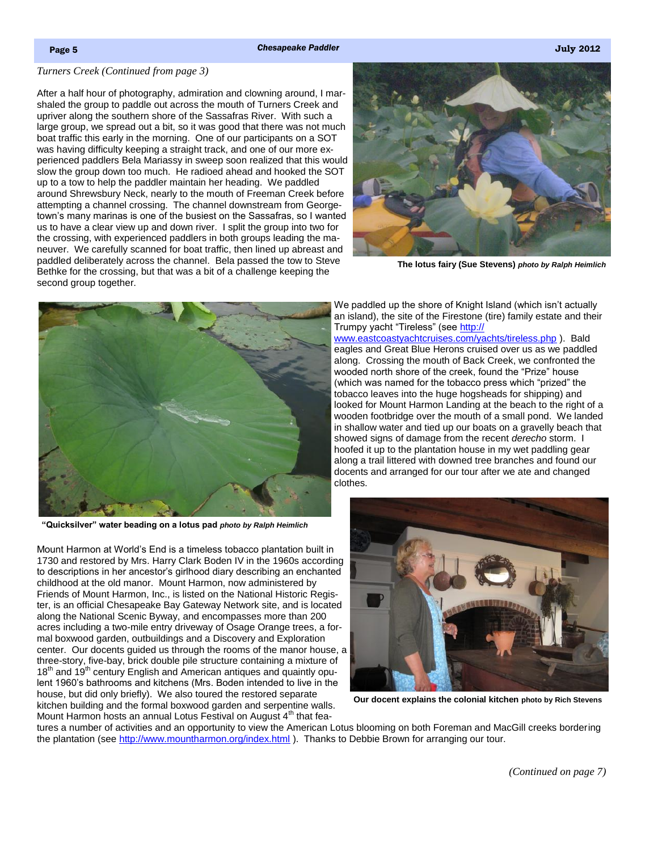### <span id="page-1-0"></span>*[Turners Creek \(Continued from page 3\)](#page-0-0)*

After a half hour of photography, admiration and clowning around, I marshaled the group to paddle out across the mouth of Turners Creek and upriver along the southern shore of the Sassafras River. With such a large group, we spread out a bit, so it was good that there was not much boat traffic this early in the morning. One of our participants on a SOT was having difficulty keeping a straight track, and one of our more experienced paddlers Bela Mariassy in sweep soon realized that this would slow the group down too much. He radioed ahead and hooked the SOT up to a tow to help the paddler maintain her heading. We paddled around Shrewsbury Neck, nearly to the mouth of Freeman Creek before attempting a channel crossing. The channel downstream from Georgetown's many marinas is one of the busiest on the Sassafras, so I wanted us to have a clear view up and down river. I split the group into two for the crossing, with experienced paddlers in both groups leading the maneuver. We carefully scanned for boat traffic, then lined up abreast and paddled deliberately across the channel. Bela passed the tow to Steve Bethke for the crossing, but that was a bit of a challenge keeping the second group together.



**The lotus fairy (Sue Stevens)** *photo by Ralph Heimlich*



**"Quicksilver" water beading on a lotus pad** *photo by Ralph Heimlich*

We paddled up the shore of Knight Island (which isn't actually an island), the site of the Firestone (tire) family estate and their Trumpy yacht "Tireless" (see [http://](http://www.eastcoastyachtcruises.com/yachts/tireless.php)

[www.eastcoastyachtcruises.com/yachts/tireless.php](http://www.eastcoastyachtcruises.com/yachts/tireless.php) ). Bald eagles and Great Blue Herons cruised over us as we paddled along. Crossing the mouth of Back Creek, we confronted the wooded north shore of the creek, found the "Prize" house (which was named for the tobacco press which "prized" the tobacco leaves into the huge hogsheads for shipping) and looked for Mount Harmon Landing at the beach to the right of a wooden footbridge over the mouth of a small pond. We landed in shallow water and tied up our boats on a gravelly beach that showed signs of damage from the recent *derecho* storm. I hoofed it up to the plantation house in my wet paddling gear along a trail littered with downed tree branches and found our docents and arranged for our tour after we ate and changed clothes.

Mount Harmon at World's End is a timeless tobacco plantation built in 1730 and restored by Mrs. Harry Clark Boden IV in the 1960s according to descriptions in her ancestor's girlhood diary describing an enchanted childhood at the old manor. Mount Harmon, now administered by Friends of Mount Harmon, Inc., is listed on the National Historic Register, is an official Chesapeake Bay Gateway Network site, and is located along the National Scenic Byway, and encompasses more than 200 acres including a two-mile entry driveway of Osage Orange trees, a formal boxwood garden, outbuildings and a Discovery and Exploration center. Our docents guided us through the rooms of the manor house, a three-story, five-bay, brick double pile structure containing a mixture of  $18<sup>th</sup>$  and  $19<sup>th</sup>$  century English and American antiques and quaintly opulent 1960's bathrooms and kitchens (Mrs. Boden intended to live in the house, but did only briefly). We also toured the restored separate kitchen building and the formal boxwood garden and serpentine walls.

Mount Harmon hosts an annual Lotus Festival on August  $4<sup>th</sup>$  that fea-



**Our docent explains the colonial kitchen photo by Rich Stevens**

tures a number of activities and an opportunity to view the American Lotus blooming on both Foreman and MacGill creeks bordering the plantation (see <http://www.mountharmon.org/index.html> ). Thanks to Debbie Brown for arranging our tour.

*[\(Continued on page 7\)](#page-2-0)*